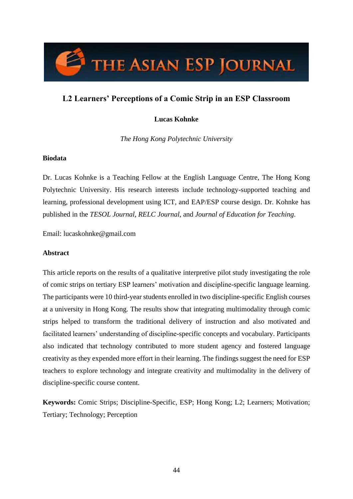

# **L2 Learners' Perceptions of a Comic Strip in an ESP Classroom**

# **Lucas Kohnke**

*The Hong Kong Polytechnic University*

# **Biodata**

Dr. Lucas Kohnke is a Teaching Fellow at the English Language Centre, The Hong Kong Polytechnic University. His research interests include technology-supported teaching and learning, professional development using ICT, and EAP/ESP course design. Dr. Kohnke has published in the *TESOL Journal*, *RELC Journal*, and *Journal of Education for Teaching*.

Email: lucaskohnke@gmail.com

#### **Abstract**

This article reports on the results of a qualitative interpretive pilot study investigating the role of comic strips on tertiary ESP learners' motivation and discipline-specific language learning. The participants were 10 third-year students enrolled in two discipline-specific English courses at a university in Hong Kong. The results show that integrating multimodality through comic strips helped to transform the traditional delivery of instruction and also motivated and facilitated learners' understanding of discipline-specific concepts and vocabulary. Participants also indicated that technology contributed to more student agency and fostered language creativity as they expended more effort in their learning. The findings suggest the need for ESP teachers to explore technology and integrate creativity and multimodality in the delivery of discipline-specific course content.

**Keywords:** Comic Strips; Discipline-Specific, ESP; Hong Kong; L2; Learners; Motivation; Tertiary; Technology; Perception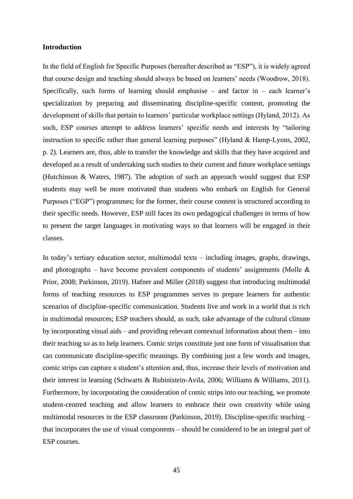#### **Introduction**

In the field of English for Specific Purposes (hereafter described as "ESP"), it is widely agreed that course design and teaching should always be based on learners' needs (Woodrow, 2018). Specifically, such forms of learning should emphasise – and factor in – each learner's specialization by preparing and disseminating discipline-specific content, promoting the development of skills that pertain to learners' particular workplace settings (Hyland, 2012). As such, ESP courses attempt to address learners' specific needs and interests by "tailoring instruction to specific rather than general learning purposes" (Hyland & Hamp-Lyons, 2002, p. 2). Learners are, thus, able to transfer the knowledge and skills that they have acquired and developed as a result of undertaking such studies to their current and future workplace settings (Hutchinson & Waters, 1987). The adoption of such an approach would suggest that ESP students may well be more motivated than students who embark on English for General Purposes ("EGP") programmes; for the former, their course content is structured according to their specific needs. However, ESP still faces its own pedagogical challenges in terms of how to present the target languages in motivating ways so that learners will be engaged in their classes.

In today's tertiary education sector, multimodal texts – including images, graphs, drawings, and photographs – have become prevalent components of students' assignments (Molle  $\&$ Prior, 2008; Parkinson, 2019). Hafner and Miller (2018) suggest that introducing multimodal forms of teaching resources to ESP programmes serves to prepare learners for authentic scenarios of discipline-specific communication. Students live and work in a world that is rich in multimodal resources; ESP teachers should, as such, take advantage of the cultural climate by incorporating visual aids – and providing relevant contextual information about them – into their teaching so as to help learners. Comic strips constitute just one form of visualisation that can communicate discipline-specific meanings. By combining just a few words and images, comic strips can capture a student's attention and, thus, increase their levels of motivation and their interest in learning (Schwarts & Rubinistein-Avila, 2006; Williams & Williams, 2011). Furthermore, by incorporating the consideration of comic strips into our teaching, we promote student-centred teaching and allow learners to embrace their own creativity while using multimodal resources in the ESP classroom (Parkinson, 2019). Discipline-specific teaching – that incorporates the use of visual components – should be considered to be an integral part of ESP courses.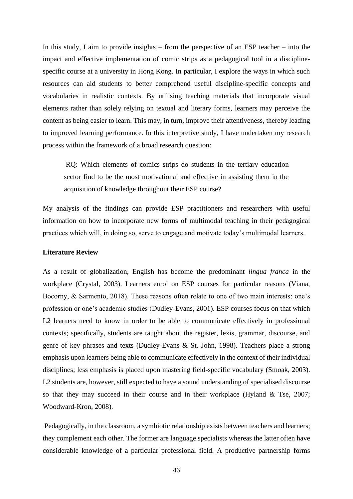In this study, I aim to provide insights – from the perspective of an ESP teacher – into the impact and effective implementation of comic strips as a pedagogical tool in a disciplinespecific course at a university in Hong Kong. In particular, I explore the ways in which such resources can aid students to better comprehend useful discipline-specific concepts and vocabularies in realistic contexts. By utilising teaching materials that incorporate visual elements rather than solely relying on textual and literary forms, learners may perceive the content as being easier to learn. This may, in turn, improve their attentiveness, thereby leading to improved learning performance. In this interpretive study, I have undertaken my research process within the framework of a broad research question:

RQ: Which elements of comics strips do students in the tertiary education sector find to be the most motivational and effective in assisting them in the acquisition of knowledge throughout their ESP course?

My analysis of the findings can provide ESP practitioners and researchers with useful information on how to incorporate new forms of multimodal teaching in their pedagogical practices which will, in doing so, serve to engage and motivate today's multimodal learners.

#### **Literature Review**

As a result of globalization, English has become the predominant *lingua franca* in the workplace (Crystal, 2003). Learners enrol on ESP courses for particular reasons (Viana, Bocorny, & Sarmento, 2018). These reasons often relate to one of two main interests: one's profession or one's academic studies (Dudley-Evans, 2001). ESP courses focus on that which L2 learners need to know in order to be able to communicate effectively in professional contexts; specifically, students are taught about the register, lexis, grammar, discourse, and genre of key phrases and texts (Dudley-Evans & St. John, 1998). Teachers place a strong emphasis upon learners being able to communicate effectively in the context of their individual disciplines; less emphasis is placed upon mastering field-specific vocabulary (Smoak, 2003). L2 students are, however, still expected to have a sound understanding of specialised discourse so that they may succeed in their course and in their workplace (Hyland & Tse, 2007; Woodward-Kron, 2008).

Pedagogically, in the classroom, a symbiotic relationship exists between teachers and learners; they complement each other. The former are language specialists whereas the latter often have considerable knowledge of a particular professional field. A productive partnership forms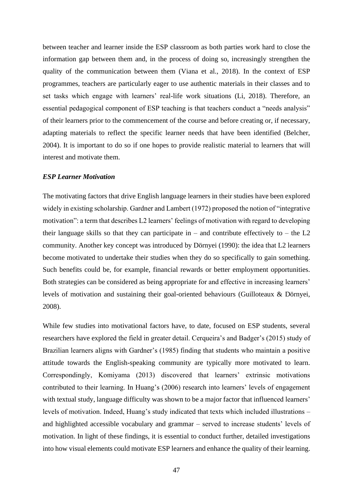between teacher and learner inside the ESP classroom as both parties work hard to close the information gap between them and, in the process of doing so, increasingly strengthen the quality of the communication between them (Viana et al., 2018). In the context of ESP programmes, teachers are particularly eager to use authentic materials in their classes and to set tasks which engage with learners' real-life work situations (Li, 2018). Therefore, an essential pedagogical component of ESP teaching is that teachers conduct a "needs analysis" of their learners prior to the commencement of the course and before creating or, if necessary, adapting materials to reflect the specific learner needs that have been identified (Belcher, 2004). It is important to do so if one hopes to provide realistic material to learners that will interest and motivate them.

#### *ESP Learner Motivation*

The motivating factors that drive English language learners in their studies have been explored widely in existing scholarship. Gardner and Lambert (1972) proposed the notion of "integrative motivation": a term that describes L2 learners' feelings of motivation with regard to developing their language skills so that they can participate in – and contribute effectively to – the  $L2$ community. Another key concept was introduced by Dörnyei (1990): the idea that L2 learners become motivated to undertake their studies when they do so specifically to gain something. Such benefits could be, for example, financial rewards or better employment opportunities. Both strategies can be considered as being appropriate for and effective in increasing learners' levels of motivation and sustaining their goal-oriented behaviours (Guilloteaux & Dörnyei, 2008).

While few studies into motivational factors have, to date, focused on ESP students, several researchers have explored the field in greater detail. Cerqueira's and Badger's (2015) study of Brazilian learners aligns with Gardner's (1985) finding that students who maintain a positive attitude towards the English-speaking community are typically more motivated to learn. Correspondingly, Komiyama (2013) discovered that learners' extrinsic motivations contributed to their learning. In Huang's (2006) research into learners' levels of engagement with textual study, language difficulty was shown to be a major factor that influenced learners' levels of motivation. Indeed, Huang's study indicated that texts which included illustrations – and highlighted accessible vocabulary and grammar – served to increase students' levels of motivation. In light of these findings, it is essential to conduct further, detailed investigations into how visual elements could motivate ESP learners and enhance the quality of their learning.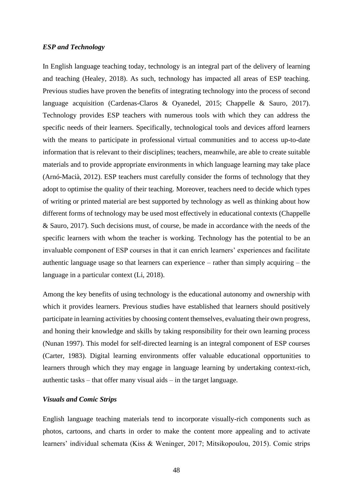#### *ESP and Technology*

In English language teaching today, technology is an integral part of the delivery of learning and teaching (Healey, 2018). As such, technology has impacted all areas of ESP teaching. Previous studies have proven the benefits of integrating technology into the process of second language acquisition (Cardenas-Claros & Oyanedel, 2015; Chappelle & Sauro, 2017). Technology provides ESP teachers with numerous tools with which they can address the specific needs of their learners. Specifically, technological tools and devices afford learners with the means to participate in professional virtual communities and to access up-to-date information that is relevant to their disciplines; teachers, meanwhile, are able to create suitable materials and to provide appropriate environments in which language learning may take place (Arnó-Macià, 2012). ESP teachers must carefully consider the forms of technology that they adopt to optimise the quality of their teaching. Moreover, teachers need to decide which types of writing or printed material are best supported by technology as well as thinking about how different forms of technology may be used most effectively in educational contexts (Chappelle & Sauro, 2017). Such decisions must, of course, be made in accordance with the needs of the specific learners with whom the teacher is working. Technology has the potential to be an invaluable component of ESP courses in that it can enrich learners' experiences and facilitate authentic language usage so that learners can experience – rather than simply acquiring – the language in a particular context (Li, 2018).

Among the key benefits of using technology is the educational autonomy and ownership with which it provides learners. Previous studies have established that learners should positively participate in learning activities by choosing content themselves, evaluating their own progress, and honing their knowledge and skills by taking responsibility for their own learning process (Nunan 1997). This model for self-directed learning is an integral component of ESP courses (Carter, 1983). Digital learning environments offer valuable educational opportunities to learners through which they may engage in language learning by undertaking context-rich, authentic tasks – that offer many visual aids – in the target language.

# *Visuals and Comic Strips*

English language teaching materials tend to incorporate visually-rich components such as photos, cartoons, and charts in order to make the content more appealing and to activate learners' individual schemata (Kiss & Weninger, 2017; Mitsikopoulou, 2015). Comic strips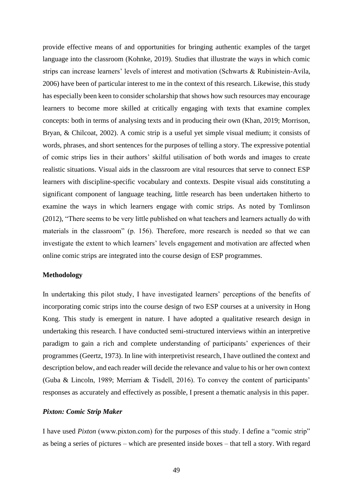provide effective means of and opportunities for bringing authentic examples of the target language into the classroom (Kohnke, 2019). Studies that illustrate the ways in which comic strips can increase learners' levels of interest and motivation (Schwarts & Rubinistein-Avila, 2006) have been of particular interest to me in the context of this research. Likewise, this study has especially been keen to consider scholarship that shows how such resources may encourage learners to become more skilled at critically engaging with texts that examine complex concepts: both in terms of analysing texts and in producing their own (Khan, 2019; Morrison, Bryan, & Chilcoat, 2002). A comic strip is a useful yet simple visual medium; it consists of words, phrases, and short sentences for the purposes of telling a story. The expressive potential of comic strips lies in their authors' skilful utilisation of both words and images to create realistic situations. Visual aids in the classroom are vital resources that serve to connect ESP learners with discipline-specific vocabulary and contexts. Despite visual aids constituting a significant component of language teaching, little research has been undertaken hitherto to examine the ways in which learners engage with comic strips. As noted by Tomlinson (2012), "There seems to be very little published on what teachers and learners actually do with materials in the classroom" (p. 156). Therefore, more research is needed so that we can investigate the extent to which learners' levels engagement and motivation are affected when online comic strips are integrated into the course design of ESP programmes.

## **Methodology**

In undertaking this pilot study, I have investigated learners' perceptions of the benefits of incorporating comic strips into the course design of two ESP courses at a university in Hong Kong. This study is emergent in nature. I have adopted a qualitative research design in undertaking this research. I have conducted semi-structured interviews within an interpretive paradigm to gain a rich and complete understanding of participants' experiences of their programmes (Geertz, 1973). In line with interpretivist research, I have outlined the context and description below, and each reader will decide the relevance and value to his or her own context (Guba & Lincoln, 1989; Merriam & Tisdell, 2016). To convey the content of participants' responses as accurately and effectively as possible, I present a thematic analysis in this paper.

#### *Pixton: Comic Strip Maker*

I have used *Pixton* (www.pixton.com) for the purposes of this study. I define a "comic strip" as being a series of pictures – which are presented inside boxes – that tell a story. With regard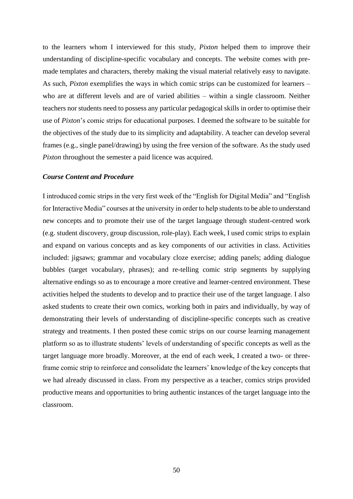to the learners whom I interviewed for this study, *Pixton* helped them to improve their understanding of discipline-specific vocabulary and concepts. The website comes with premade templates and characters, thereby making the visual material relatively easy to navigate. As such, *Pixton* exemplifies the ways in which comic strips can be customized for learners – who are at different levels and are of varied abilities – within a single classroom. Neither teachers nor students need to possess any particular pedagogical skills in order to optimise their use of *Pixton*'s comic strips for educational purposes. I deemed the software to be suitable for the objectives of the study due to its simplicity and adaptability. A teacher can develop several frames (e.g., single panel/drawing) by using the free version of the software. As the study used *Pixton* throughout the semester a paid licence was acquired.

#### *Course Content and Procedure*

I introduced comic strips in the very first week of the "English for Digital Media" and "English for Interactive Media" courses at the university in order to help students to be able to understand new concepts and to promote their use of the target language through student-centred work (e.g. student discovery, group discussion, role-play). Each week, I used comic strips to explain and expand on various concepts and as key components of our activities in class. Activities included: jigsaws; grammar and vocabulary cloze exercise; adding panels; adding dialogue bubbles (target vocabulary, phrases); and re-telling comic strip segments by supplying alternative endings so as to encourage a more creative and learner-centred environment. These activities helped the students to develop and to practice their use of the target language. I also asked students to create their own comics, working both in pairs and individually, by way of demonstrating their levels of understanding of discipline-specific concepts such as creative strategy and treatments. I then posted these comic strips on our course learning management platform so as to illustrate students' levels of understanding of specific concepts as well as the target language more broadly. Moreover, at the end of each week, I created a two- or threeframe comic strip to reinforce and consolidate the learners' knowledge of the key concepts that we had already discussed in class. From my perspective as a teacher, comics strips provided productive means and opportunities to bring authentic instances of the target language into the classroom.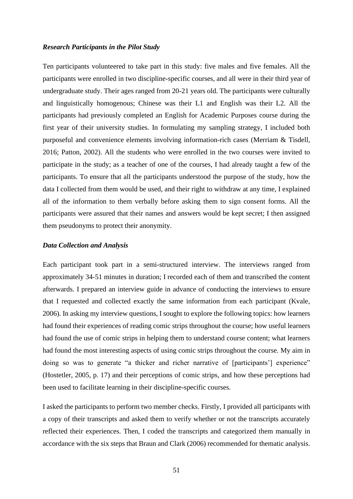#### *Research Participants in the Pilot Study*

Ten participants volunteered to take part in this study: five males and five females. All the participants were enrolled in two discipline-specific courses, and all were in their third year of undergraduate study. Their ages ranged from 20-21 years old. The participants were culturally and linguistically homogenous; Chinese was their L1 and English was their L2. All the participants had previously completed an English for Academic Purposes course during the first year of their university studies. In formulating my sampling strategy, I included both purposeful and convenience elements involving information-rich cases (Merriam & Tisdell, 2016; Patton, 2002). All the students who were enrolled in the two courses were invited to participate in the study; as a teacher of one of the courses, I had already taught a few of the participants. To ensure that all the participants understood the purpose of the study, how the data I collected from them would be used, and their right to withdraw at any time, I explained all of the information to them verbally before asking them to sign consent forms. All the participants were assured that their names and answers would be kept secret; I then assigned them pseudonyms to protect their anonymity.

#### *Data Collection and Analysis*

Each participant took part in a semi-structured interview. The interviews ranged from approximately 34-51 minutes in duration; I recorded each of them and transcribed the content afterwards. I prepared an interview guide in advance of conducting the interviews to ensure that I requested and collected exactly the same information from each participant (Kvale, 2006). In asking my interview questions, I sought to explore the following topics: how learners had found their experiences of reading comic strips throughout the course; how useful learners had found the use of comic strips in helping them to understand course content; what learners had found the most interesting aspects of using comic strips throughout the course. My aim in doing so was to generate "a thicker and richer narrative of [participants'] experience" (Hostetler, 2005, p. 17) and their perceptions of comic strips, and how these perceptions had been used to facilitate learning in their discipline-specific courses.

I asked the participants to perform two member checks. Firstly, I provided all participants with a copy of their transcripts and asked them to verify whether or not the transcripts accurately reflected their experiences. Then, I coded the transcripts and categorized them manually in accordance with the six steps that Braun and Clark (2006) recommended for thematic analysis.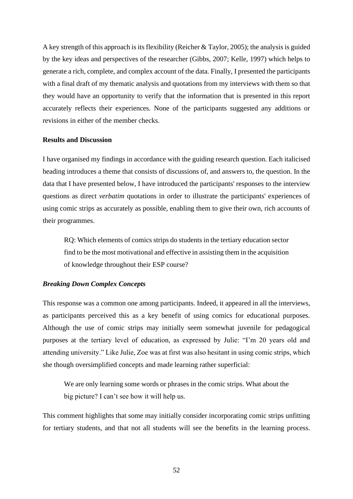A key strength of this approach is its flexibility (Reicher & Taylor, 2005); the analysis is guided by the key ideas and perspectives of the researcher (Gibbs, 2007; Kelle, 1997) which helps to generate a rich, complete, and complex account of the data. Finally, I presented the participants with a final draft of my thematic analysis and quotations from my interviews with them so that they would have an opportunity to verify that the information that is presented in this report accurately reflects their experiences. None of the participants suggested any additions or revisions in either of the member checks.

# **Results and Discussion**

I have organised my findings in accordance with the guiding research question. Each italicised heading introduces a theme that consists of discussions of, and answers to, the question. In the data that I have presented below, I have introduced the participants' responses to the interview questions as direct *verbatim* quotations in order to illustrate the participants' experiences of using comic strips as accurately as possible, enabling them to give their own, rich accounts of their programmes.

RQ: Which elements of comics strips do students in the tertiary education sector find to be the most motivational and effective in assisting them in the acquisition of knowledge throughout their ESP course?

# *Breaking Down Complex Concepts*

This response was a common one among participants. Indeed, it appeared in all the interviews, as participants perceived this as a key benefit of using comics for educational purposes. Although the use of comic strips may initially seem somewhat juvenile for pedagogical purposes at the tertiary level of education, as expressed by Julie: "I'm 20 years old and attending university." Like Julie, Zoe was at first was also hesitant in using comic strips, which she though oversimplified concepts and made learning rather superficial:

We are only learning some words or phrases in the comic strips. What about the big picture? I can't see how it will help us.

This comment highlights that some may initially consider incorporating comic strips unfitting for tertiary students, and that not all students will see the benefits in the learning process.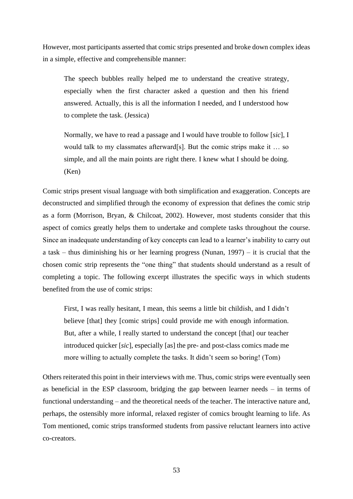However, most participants asserted that comic strips presented and broke down complex ideas in a simple, effective and comprehensible manner:

The speech bubbles really helped me to understand the creative strategy, especially when the first character asked a question and then his friend answered. Actually, this is all the information I needed, and I understood how to complete the task. (Jessica)

Normally, we have to read a passage and I would have trouble to follow [*sic*], I would talk to my classmates afterward[s]. But the comic strips make it … so simple, and all the main points are right there. I knew what I should be doing. (Ken)

Comic strips present visual language with both simplification and exaggeration. Concepts are deconstructed and simplified through the economy of expression that defines the comic strip as a form (Morrison, Bryan, & Chilcoat, 2002). However, most students consider that this aspect of comics greatly helps them to undertake and complete tasks throughout the course. Since an inadequate understanding of key concepts can lead to a learner's inability to carry out a task – thus diminishing his or her learning progress (Nunan, 1997) – it is crucial that the chosen comic strip represents the "one thing" that students should understand as a result of completing a topic. The following excerpt illustrates the specific ways in which students benefited from the use of comic strips:

First, I was really hesitant, I mean, this seems a little bit childish, and I didn't believe [that] they [comic strips] could provide me with enough information. But, after a while, I really started to understand the concept [that] our teacher introduced quicker [*sic*], especially [as] the pre- and post-class comics made me more willing to actually complete the tasks. It didn't seem so boring! (Tom)

Others reiterated this point in their interviews with me. Thus, comic strips were eventually seen as beneficial in the ESP classroom, bridging the gap between learner needs – in terms of functional understanding – and the theoretical needs of the teacher. The interactive nature and, perhaps, the ostensibly more informal, relaxed register of comics brought learning to life. As Tom mentioned, comic strips transformed students from passive reluctant learners into active co-creators.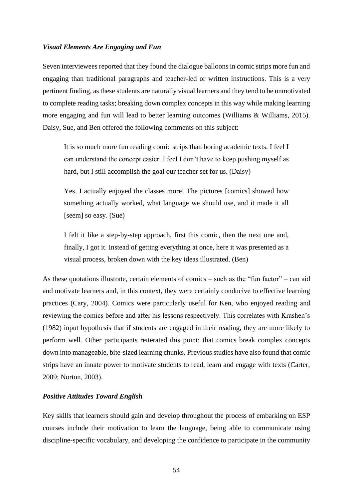# *Visual Elements Are Engaging and Fun*

Seven interviewees reported that they found the dialogue balloons in comic strips more fun and engaging than traditional paragraphs and teacher-led or written instructions. This is a very pertinent finding, as these students are naturally visual learners and they tend to be unmotivated to complete reading tasks; breaking down complex concepts in this way while making learning more engaging and fun will lead to better learning outcomes (Williams & Williams, 2015). Daisy, Sue, and Ben offered the following comments on this subject:

It is so much more fun reading comic strips than boring academic texts. I feel I can understand the concept easier. I feel I don't have to keep pushing myself as hard, but I still accomplish the goal our teacher set for us. (Daisy)

Yes, I actually enjoyed the classes more! The pictures [comics] showed how something actually worked, what language we should use, and it made it all [seem] so easy. (Sue)

I felt it like a step-by-step approach, first this comic, then the next one and, finally, I got it. Instead of getting everything at once, here it was presented as a visual process, broken down with the key ideas illustrated. (Ben)

As these quotations illustrate, certain elements of comics – such as the "fun factor" – can aid and motivate learners and, in this context, they were certainly conducive to effective learning practices (Cary, 2004). Comics were particularly useful for Ken, who enjoyed reading and reviewing the comics before and after his lessons respectively. This correlates with Krashen's (1982) input hypothesis that if students are engaged in their reading, they are more likely to perform well. Other participants reiterated this point: that comics break complex concepts down into manageable, bite-sized learning chunks. Previous studies have also found that comic strips have an innate power to motivate students to read, learn and engage with texts (Carter, 2009; Norton, 2003).

# *Positive Attitudes Toward English*

Key skills that learners should gain and develop throughout the process of embarking on ESP courses include their motivation to learn the language, being able to communicate using discipline-specific vocabulary, and developing the confidence to participate in the community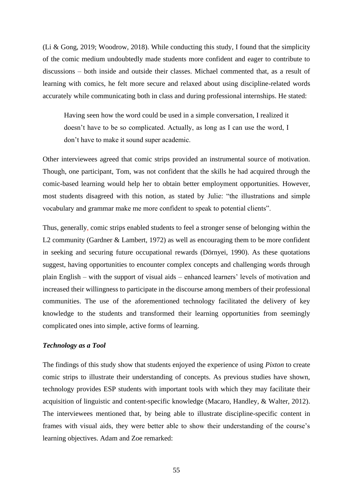(Li & Gong, 2019; Woodrow, 2018). While conducting this study, I found that the simplicity of the comic medium undoubtedly made students more confident and eager to contribute to discussions – both inside and outside their classes. Michael commented that, as a result of learning with comics, he felt more secure and relaxed about using discipline-related words accurately while communicating both in class and during professional internships. He stated:

Having seen how the word could be used in a simple conversation, I realized it doesn't have to be so complicated. Actually, as long as I can use the word, I don't have to make it sound super academic.

Other interviewees agreed that comic strips provided an instrumental source of motivation. Though, one participant, Tom, was not confident that the skills he had acquired through the comic-based learning would help her to obtain better employment opportunities. However, most students disagreed with this notion, as stated by Julie: "the illustrations and simple vocabulary and grammar make me more confident to speak to potential clients".

Thus, generally, comic strips enabled students to feel a stronger sense of belonging within the L2 community (Gardner & Lambert, 1972) as well as encouraging them to be more confident in seeking and securing future occupational rewards (Dörnyei, 1990). As these quotations suggest, having opportunities to encounter complex concepts and challenging words through plain English – with the support of visual aids – enhanced learners' levels of motivation and increased their willingness to participate in the discourse among members of their professional communities. The use of the aforementioned technology facilitated the delivery of key knowledge to the students and transformed their learning opportunities from seemingly complicated ones into simple, active forms of learning.

# *Technology as a Tool*

The findings of this study show that students enjoyed the experience of using *Pixton* to create comic strips to illustrate their understanding of concepts. As previous studies have shown, technology provides ESP students with important tools with which they may facilitate their acquisition of linguistic and content-specific knowledge (Macaro, Handley, & Walter, 2012). The interviewees mentioned that, by being able to illustrate discipline-specific content in frames with visual aids, they were better able to show their understanding of the course's learning objectives. Adam and Zoe remarked: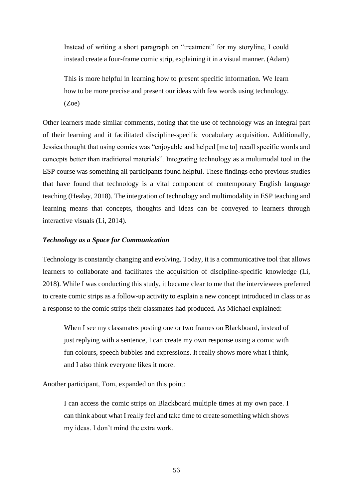Instead of writing a short paragraph on "treatment" for my storyline, I could instead create a four-frame comic strip, explaining it in a visual manner. (Adam)

This is more helpful in learning how to present specific information. We learn how to be more precise and present our ideas with few words using technology. (Zoe)

Other learners made similar comments, noting that the use of technology was an integral part of their learning and it facilitated discipline-specific vocabulary acquisition. Additionally, Jessica thought that using comics was "enjoyable and helped [me to] recall specific words and concepts better than traditional materials". Integrating technology as a multimodal tool in the ESP course was something all participants found helpful. These findings echo previous studies that have found that technology is a vital component of contemporary English language teaching (Healay, 2018). The integration of technology and multimodality in ESP teaching and learning means that concepts, thoughts and ideas can be conveyed to learners through interactive visuals (Li, 2014).

#### *Technology as a Space for Communication*

Technology is constantly changing and evolving. Today, it is a communicative tool that allows learners to collaborate and facilitates the acquisition of discipline-specific knowledge (Li, 2018). While I was conducting this study, it became clear to me that the interviewees preferred to create comic strips as a follow-up activity to explain a new concept introduced in class or as a response to the comic strips their classmates had produced. As Michael explained:

When I see my classmates posting one or two frames on Blackboard, instead of just replying with a sentence, I can create my own response using a comic with fun colours, speech bubbles and expressions. It really shows more what I think, and I also think everyone likes it more.

Another participant, Tom, expanded on this point:

I can access the comic strips on Blackboard multiple times at my own pace. I can think about what I really feel and take time to create something which shows my ideas. I don't mind the extra work.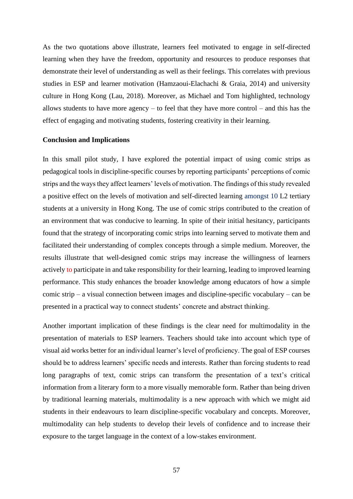As the two quotations above illustrate, learners feel motivated to engage in self-directed learning when they have the freedom, opportunity and resources to produce responses that demonstrate their level of understanding as well as their feelings. This correlates with previous studies in ESP and learner motivation (Hamzaoui-Elachachi & Graia, 2014) and university culture in Hong Kong (Lau, 2018). Moreover, as Michael and Tom highlighted, technology allows students to have more agency – to feel that they have more control – and this has the effect of engaging and motivating students, fostering creativity in their learning.

#### **Conclusion and Implications**

In this small pilot study, I have explored the potential impact of using comic strips as pedagogical tools in discipline-specific courses by reporting participants' perceptions of comic strips and the ways they affect learners' levels of motivation. The findings of this study revealed a positive effect on the levels of motivation and self-directed learning amongst 10 L2 tertiary students at a university in Hong Kong. The use of comic strips contributed to the creation of an environment that was conducive to learning. In spite of their initial hesitancy, participants found that the strategy of incorporating comic strips into learning served to motivate them and facilitated their understanding of complex concepts through a simple medium. Moreover, the results illustrate that well-designed comic strips may increase the willingness of learners actively to participate in and take responsibility for their learning, leading to improved learning performance. This study enhances the broader knowledge among educators of how a simple comic strip – a visual connection between images and discipline-specific vocabulary – can be presented in a practical way to connect students' concrete and abstract thinking.

Another important implication of these findings is the clear need for multimodality in the presentation of materials to ESP learners. Teachers should take into account which type of visual aid works better for an individual learner's level of proficiency. The goal of ESP courses should be to address learners' specific needs and interests. Rather than forcing students to read long paragraphs of text, comic strips can transform the presentation of a text's critical information from a literary form to a more visually memorable form. Rather than being driven by traditional learning materials, multimodality is a new approach with which we might aid students in their endeavours to learn discipline-specific vocabulary and concepts. Moreover, multimodality can help students to develop their levels of confidence and to increase their exposure to the target language in the context of a low-stakes environment.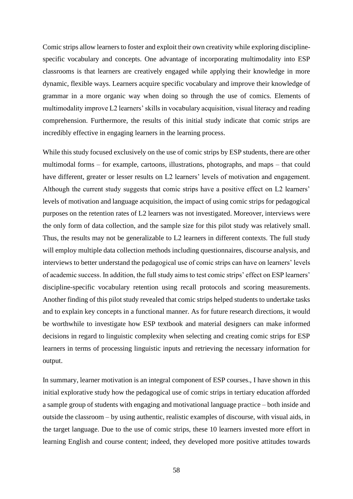Comic strips allow learners to foster and exploit their own creativity while exploring disciplinespecific vocabulary and concepts. One advantage of incorporating multimodality into ESP classrooms is that learners are creatively engaged while applying their knowledge in more dynamic, flexible ways. Learners acquire specific vocabulary and improve their knowledge of grammar in a more organic way when doing so through the use of comics. Elements of multimodality improve L2 learners' skills in vocabulary acquisition, visual literacy and reading comprehension. Furthermore, the results of this initial study indicate that comic strips are incredibly effective in engaging learners in the learning process.

While this study focused exclusively on the use of comic strips by ESP students, there are other multimodal forms – for example, cartoons, illustrations, photographs, and maps – that could have different, greater or lesser results on L2 learners' levels of motivation and engagement. Although the current study suggests that comic strips have a positive effect on L2 learners' levels of motivation and language acquisition, the impact of using comic strips for pedagogical purposes on the retention rates of L2 learners was not investigated. Moreover, interviews were the only form of data collection, and the sample size for this pilot study was relatively small. Thus, the results may not be generalizable to L2 learners in different contexts. The full study will employ multiple data collection methods including questionnaires, discourse analysis, and interviews to better understand the pedagogical use of comic strips can have on learners' levels of academic success. In addition, the full study aims to test comic strips' effect on ESP learners' discipline-specific vocabulary retention using recall protocols and scoring measurements. Another finding of this pilot study revealed that comic strips helped students to undertake tasks and to explain key concepts in a functional manner. As for future research directions, it would be worthwhile to investigate how ESP textbook and material designers can make informed decisions in regard to linguistic complexity when selecting and creating comic strips for ESP learners in terms of processing linguistic inputs and retrieving the necessary information for output.

In summary, learner motivation is an integral component of ESP courses., I have shown in this initial explorative study how the pedagogical use of comic strips in tertiary education afforded a sample group of students with engaging and motivational language practice – both inside and outside the classroom – by using authentic, realistic examples of discourse, with visual aids, in the target language. Due to the use of comic strips, these 10 learners invested more effort in learning English and course content; indeed, they developed more positive attitudes towards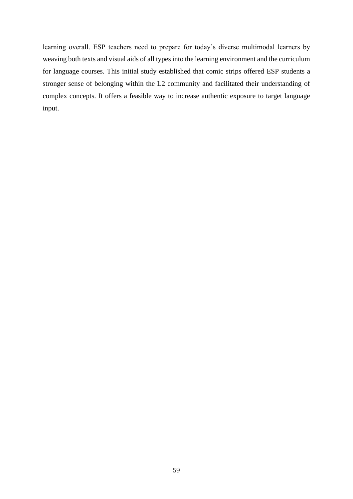learning overall. ESP teachers need to prepare for today's diverse multimodal learners by weaving both texts and visual aids of all types into the learning environment and the curriculum for language courses. This initial study established that comic strips offered ESP students a stronger sense of belonging within the L2 community and facilitated their understanding of complex concepts. It offers a feasible way to increase authentic exposure to target language input.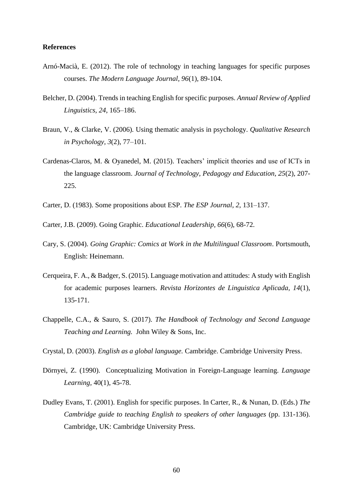#### **References**

- Arnó-Macià, E. (2012). The role of technology in teaching languages for specific purposes courses. *The Modern Language Journal, 96*(1), 89-104.
- Belcher, D. (2004). Trends in teaching English for specific purposes. *Annual Review of Applied Linguistics, 24*, 165–186.
- Braun, V., & Clarke, V. (2006)*.* Using thematic analysis in psychology. *Qualitative Research in Psychology, 3*(2), 77–101.
- Cardenas-Claros, M. & Oyanedel, M. (2015). Teachers' implicit theories and use of ICTs in the language classroom. *Journal of Technology, Pedagogy and Education, 25*(2), 207- 225.
- Carter, D. (1983). Some propositions about ESP. *The ESP Journal, 2*, 131–137.
- Carter, J.B. (2009). Going Graphic. *Educational Leadership, 66*(6), 68-72.
- Cary, S. (2004). *Going Graphic: Comics at Work in the Multilingual Classroom*. Portsmouth, English: Heinemann.
- Cerqueira, F. A., & Badger, S. (2015). Language motivation and attitudes: A study with English for academic purposes learners. *Revista Horizontes de Linguistica Aplicada, 14*(1), 135-171.
- Chappelle, C.A., & Sauro, S. (2017). *The Handbook of Technology and Second Language Teaching and Learning.* John Wiley & Sons, Inc.
- Crystal, D. (2003). *English as a global language.* Cambridge. Cambridge University Press.
- Dörnyei, Z. (1990). Conceptualizing Motivation in Foreign-Language learning. *Language Learning,* 40(1), 45-78.
- Dudley Evans, T. (2001). English for specific purposes. In Carter, R., & Nunan, D. (Eds.) *The Cambridge guide to teaching English to speakers of other languages* (pp. 131-136). Cambridge, UK: Cambridge University Press.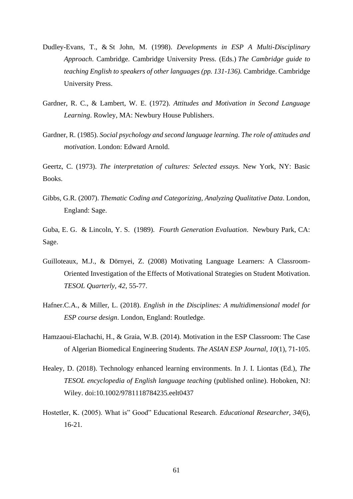- Dudley*-*Evans*,* T., & St John, M. (1998). *Developments in ESP A Multi-Disciplinary Approach*. Cambridge. Cambridge University Press. (Eds.) *The Cambridge guide to teaching English to speakers of other languages (pp. 131-136).* Cambridge. Cambridge University Press.
- Gardner, R. C., & Lambert, W. E. (1972). *Attitudes and Motivation in Second Language Learning*. Rowley, MA: Newbury House Publishers.
- Gardner, R. (1985). *Social psychology and second language learning. The role of attitudes and motivation*. London: Edward Arnold.

Geertz, C. (1973). *The interpretation of cultures: Selected essays.* New York, NY: Basic Books.

Gibbs*,* G.R. (2007). *Thematic Coding and Categorizing, Analyzing Qualitative Data*. London, England: Sage.

Guba, E. G. & Lincoln, Y. S. (1989). *Fourth Generation Evaluation*. Newbury Park, CA: Sage.

- Guilloteaux, M.J., & Dörnyei, Z. (2008) Motivating Language Learners: A Classroom-Oriented Investigation of the Effects of Motivational Strategies on Student Motivation. *TESOL Quarterly, 42*, 55-77.
- Hafner.C.A., & Miller, L. (2018). *English in the Disciplines: A multidimensional model for ESP course design*. London, England: Routledge.
- Hamzaoui-Elachachi, H., & Graia, W.B. (2014). Motivation in the ESP Classroom: The Case of Algerian Biomedical Engineering Students*. The ASIAN ESP Journal, 10*(1), 71-105.
- Healey, D. (2018). Technology enhanced learning environments. In J. I. Liontas (Ed.), *The TESOL encyclopedia of English language teaching* (published online). Hoboken, NJ: Wiley. doi:10.1002/9781118784235.eelt0437
- Hostetler, K. (2005). What is" Good" Educational Research. *Educational Researcher, 34*(6), 16-21.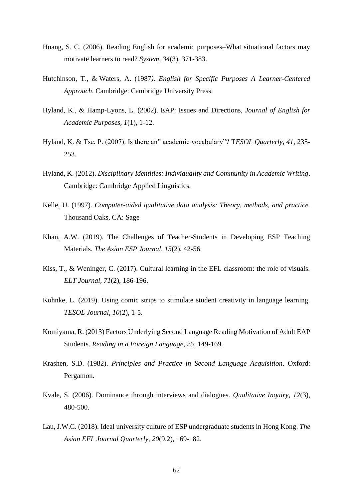- Huang, S. C. (2006). Reading English for academic purposes–What situational factors may motivate learners to read? *System, 34*(3), 371-383.
- Hutchinson*,* T., & Waters, A. (1987*). English for Specific Purposes A Learner-Centered Approach*. Cambridge: Cambridge University Press.
- Hyland*,* K., & Hamp*-*Lyons*,* L. (2002). EAP: Issues and Directions, *Journal of English for Academic Purposes, 1*(1), 1-12.
- Hyland, K. & Tse, P. (2007). Is there an" academic vocabulary"? T*ESOL Quarterly, 41*, 235- 253.
- Hyland, K. (2012). *Disciplinary Identities: Individuality and Community in Academic Writing*. Cambridge: Cambridge Applied Linguistics.
- Kelle, U. (1997). *Computer-aided qualitative data analysis: Theory, methods, and practice.* Thousand Oaks, CA: Sage
- Khan, A.W. (2019). The Challenges of Teacher-Students in Developing ESP Teaching Materials. *The Asian ESP Journal, 15*(2), 42-56.
- Kiss, T., & Weninger, C. (2017). Cultural learning in the EFL classroom: the role of visuals. *ELT Journal, 71*(2), 186-196.
- Kohnke, L. (2019). Using comic strips to stimulate student creativity in language learning. *TESOL Journal, 10*(2), 1-5.
- Komiyama, R. (2013) Factors Underlying Second Language Reading Motivation of Adult EAP Students. *Reading in a Foreign Language, 25*, 149-169.
- Krashen, S.D. (1982). *Principles and Practice in Second Language Acquisition*. Oxford: Pergamon.
- Kvale, S. (2006). Dominance through interviews and dialogues. *Qualitative Inquiry, 12*(3), 480-500.
- Lau, J.W.C. (2018). Ideal university culture of ESP undergraduate students in Hong Kong. *The Asian EFL Journal Quarterly, 20*(9.2), 169-182.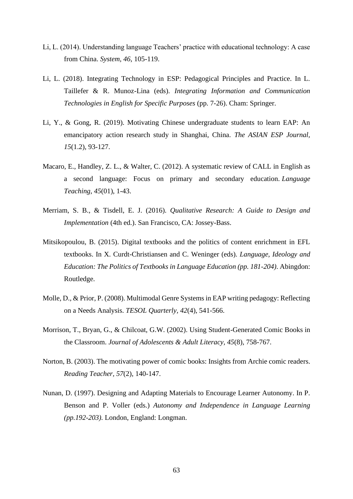- Li, L. (2014). Understanding language Teachers' practice with educational technology: A case from China. *System, 46*, 105-119.
- Li, L. (2018). Integrating Technology in ESP: Pedagogical Principles and Practice. In L. Taillefer & R. Munoz-Lina (eds). *Integrating Information and Communication Technologies in English for Specific Purposes* (pp. 7-26). Cham: Springer.
- Li, Y., & Gong, R. (2019). Motivating Chinese undergraduate students to learn EAP: An emancipatory action research study in Shanghai, China. *The ASIAN ESP Journal, 15*(1.2), 93-127.
- Macaro, E., Handley, Z. L., & Walter, C. (2012). A systematic review of CALL in English as a second language: Focus on primary and secondary education. *Language Teaching*, *45*(01), 1-43.
- Merriam, S. B., & Tisdell, E. J. (2016). *Qualitative Research: A Guide to Design and Implementation* (4th ed.). San Francisco, CA: Jossey-Bass.
- Mitsikopoulou, B. (2015). Digital textbooks and the politics of content enrichment in EFL textbooks. In X. Curdt-Christiansen and C. Weninger (eds). *Language, Ideology and Education: The Politics of Textbooks in Language Education (pp. 181-204)*. Abingdon: Routledge.
- Molle, D., & Prior, P. (2008). Multimodal Genre Systems in EAP writing pedagogy: Reflecting on a Needs Analysis. *TESOL Quarterly, 42*(4), 541-566.
- Morrison, T., Bryan, G., & Chilcoat, G.W. (2002). Using Student-Generated Comic Books in the Classroom. *Journal of Adolescents & Adult Literacy, 45*(8), 758-767.
- Norton, B. (2003). The motivating power of comic books: Insights from Archie comic readers. *Reading Teacher, 57*(2), 140-147.
- Nunan, D. (1997). Designing and Adapting Materials to Encourage Learner Autonomy. In P. Benson and P. Voller (eds.) *Autonomy and Independence in Language Learning (pp.192-203).* London, England: Longman.